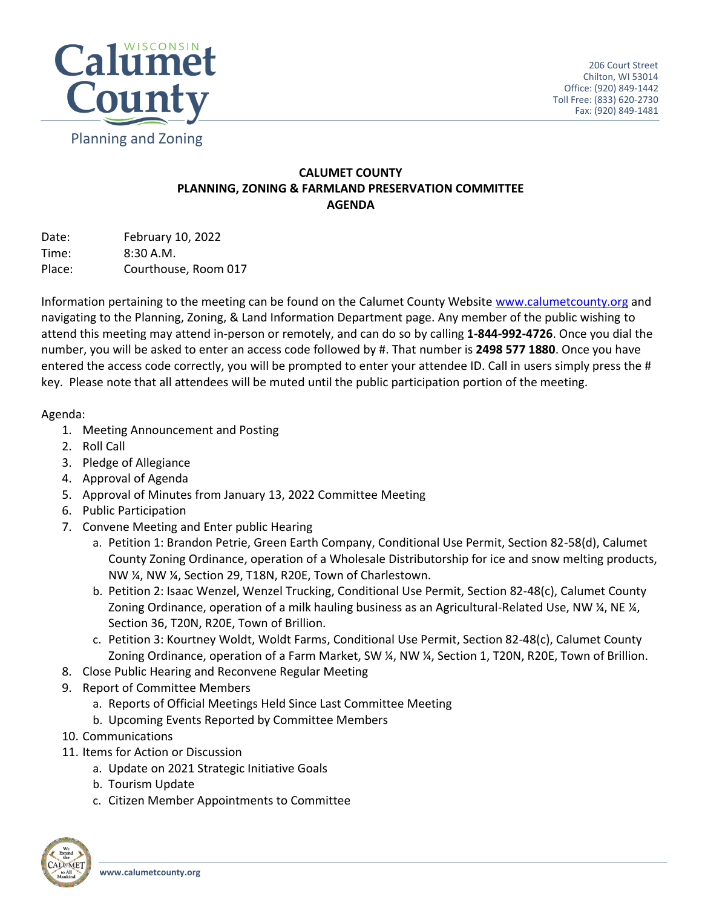

## **CALUMET COUNTY PLANNING, ZONING & FARMLAND PRESERVATION COMMITTEE AGENDA**

Date: February 10, 2022 Time: 8:30 A.M. Place: Courthouse, Room 017

Information pertaining to the meeting can be found on the Calumet County Website [www.calumetcounty.org](http://www.calumetcounty.org/) and navigating to the Planning, Zoning, & Land Information Department page. Any member of the public wishing to attend this meeting may attend in-person or remotely, and can do so by calling **1-844-992-4726**. Once you dial the number, you will be asked to enter an access code followed by #. That number is **2498 577 1880**. Once you have entered the access code correctly, you will be prompted to enter your attendee ID. Call in users simply press the # key. Please note that all attendees will be muted until the public participation portion of the meeting.

## Agenda:

- 1. Meeting Announcement and Posting
- 2. Roll Call
- 3. Pledge of Allegiance
- 4. Approval of Agenda
- 5. Approval of Minutes from January 13, 2022 Committee Meeting
- 6. Public Participation
- 7. Convene Meeting and Enter public Hearing
	- a. Petition 1: Brandon Petrie, Green Earth Company, Conditional Use Permit, Section 82-58(d), Calumet County Zoning Ordinance, operation of a Wholesale Distributorship for ice and snow melting products, NW ¼, NW ¼, Section 29, T18N, R20E, Town of Charlestown.
	- b. Petition 2: Isaac Wenzel, Wenzel Trucking, Conditional Use Permit, Section 82-48(c), Calumet County Zoning Ordinance, operation of a milk hauling business as an Agricultural-Related Use, NW ¼, NE ¼, Section 36, T20N, R20E, Town of Brillion.
	- c. Petition 3: Kourtney Woldt, Woldt Farms, Conditional Use Permit, Section 82-48(c), Calumet County Zoning Ordinance, operation of a Farm Market, SW ¼, NW ¼, Section 1, T20N, R20E, Town of Brillion.
- 8. Close Public Hearing and Reconvene Regular Meeting
- 9. Report of Committee Members
	- a. Reports of Official Meetings Held Since Last Committee Meeting
	- b. Upcoming Events Reported by Committee Members
- 10. Communications
- 11. Items for Action or Discussion
	- a. Update on 2021 Strategic Initiative Goals
	- b. Tourism Update
	- c. Citizen Member Appointments to Committee